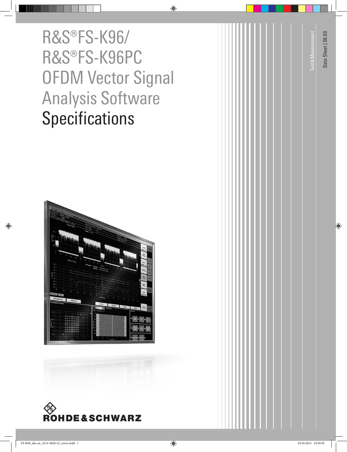R&S®FS-K96/ R&S®FS-K96PC OFDM Vector Signal Analysis Software **Specifications** 





|  |  |  |  |  |  |  |  |  | Test & Measurement |  | Data Sheet   06.00 |
|--|--|--|--|--|--|--|--|--|--------------------|--|--------------------|
|  |  |  |  |  |  |  |  |  |                    |  |                    |
|  |  |  |  |  |  |  |  |  |                    |  |                    |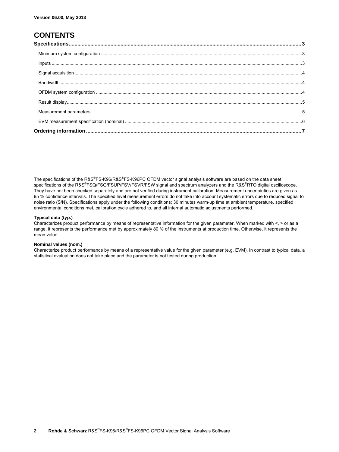### **CONTENTS**

The specifications of the R&S®FS-K96/R&S®FS-K96PC OFDM vector signal analysis software are based on the data sheet specifications of the R&S<sup>®</sup>FSQ/FSG/FSUP/FSV/FSVR/FSW signal and spectrum analyzers and the R&S<sup>®</sup>RTO digital oscilloscope. They have not been checked separately and are not verified during instrument calibration. Measurement uncertainties are given as 95 % confidence intervals. The specified level measurement errors do not take into account systematic errors due to reduced signal to noise ratio (S/N). Specifications apply under the following conditions: 30 minutes warm-up time at ambient temperature, specified environmental conditions met, calibration cycle adhered to, and all internal automatic adjustments performed.

#### **Typical data (typ.)**

Characterizes product performance by means of representative information for the given parameter. When marked with <, > or as a range, it represents the performance met by approximately 80 % of the instruments at production time. Otherwise, it represents the mean value.

#### **Nominal values (nom.)**

Characterize product performance by means of a representative value for the given parameter (e.g. EVM). In contrast to typical data, a statistical evaluation does not take place and the parameter is not tested during production.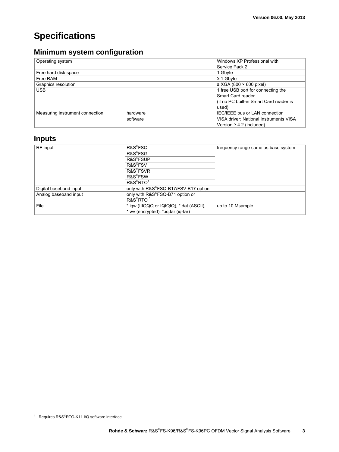# **Specifications**

## **Minimum system configuration**

| Operating system                |          | Windows XP Professional with            |  |
|---------------------------------|----------|-----------------------------------------|--|
|                                 |          | Service Pack 2                          |  |
| Free hard disk space            |          | 1 Gbyte                                 |  |
| Free RAM                        |          | $\geq$ 1 Gbyte                          |  |
| Graphics resolution             |          | $\geq$ XGA (800 $\times$ 600 pixel)     |  |
| <b>USB</b>                      |          | 1 free USB port for connecting the      |  |
|                                 |          | Smart Card reader                       |  |
|                                 |          | (if no PC built-in Smart Card reader is |  |
|                                 |          | used)                                   |  |
| Measuring instrument connection | hardware | IEC/IEEE bus or LAN connection          |  |
|                                 | software | VISA driver: National Instruments VISA  |  |
|                                 |          | Version $\geq$ 4.2 (included)           |  |

# **Inputs**

| RF input               | R&S <sup>®</sup> FSQ                     | frequency range same as base system |  |  |
|------------------------|------------------------------------------|-------------------------------------|--|--|
|                        | R&S <sup>®</sup> FSG                     |                                     |  |  |
|                        | R&S <sup>®</sup> FSUP                    |                                     |  |  |
|                        | R&S <sup>®</sup> FSV                     |                                     |  |  |
|                        | R&S <sup>®</sup> FSVR                    |                                     |  |  |
|                        | R&S <sup>®</sup> FSW                     |                                     |  |  |
|                        | $R\&S^{\otimes}RTO^1$                    |                                     |  |  |
| Digital baseband input | only with R&S®FSQ-B17/FSV-B17 option     |                                     |  |  |
| Analog baseband input  | only with R&S®FSQ-B71 option or          |                                     |  |  |
|                        | R&S <sup>®</sup> RTO <sup>1</sup>        |                                     |  |  |
| File                   | *.iqw (IIIQQQ or IQIQIQ), *.dat (ASCII), | up to 10 Msample                    |  |  |
|                        | * wv (encrypted), * ig tar (ig-tar)      |                                     |  |  |

<sup>1&</sup>lt;br><sup>1</sup> Requires R&S®RTO-K11 I/Q software interface.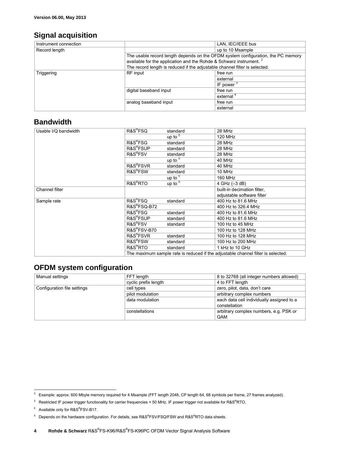### **Signal acquisition**

| Instrument connection |                                                                                  | LAN, IEC/IEEE bus     |  |  |
|-----------------------|----------------------------------------------------------------------------------|-----------------------|--|--|
| Record length         |                                                                                  | up to 10 Msample      |  |  |
|                       | The usable record length depends on the OFDM system configuration, the PC memory |                       |  |  |
|                       | available for the application and the Rohde & Schwarz instrument. <sup>2</sup>   |                       |  |  |
|                       | The record length is reduced if the adjustable channel filter is selected.       |                       |  |  |
| Triggering            | RF input                                                                         | free run              |  |  |
|                       |                                                                                  | external              |  |  |
|                       |                                                                                  | IF power $3$          |  |  |
|                       | digital baseband input                                                           | free run              |  |  |
|                       |                                                                                  | external <sup>4</sup> |  |  |
|                       | analog baseband input                                                            | free run              |  |  |
|                       |                                                                                  | external              |  |  |

### **Bandwidth**

| Usable I/Q bandwidth | R&S <sup>®</sup> FSQ                                                             | standard                | 28 MHz                      |  |
|----------------------|----------------------------------------------------------------------------------|-------------------------|-----------------------------|--|
|                      |                                                                                  | up to $5$               | 120 MHz                     |  |
|                      | R&S®FSG                                                                          | standard                | 28 MHz                      |  |
|                      | R&S <sup>®</sup> FSUP                                                            | standard                | 28 MHz                      |  |
|                      | R&S <sup>®</sup> FSV                                                             | standard                | 28 MHz                      |  |
|                      |                                                                                  | up to <sup>5</sup>      | 40 MHz                      |  |
|                      | R&S <sup>®</sup> FSVR                                                            | standard                | 40 MHz                      |  |
|                      | R&S <sup>®</sup> FSW                                                             | standard                | 10 MHz                      |  |
|                      |                                                                                  | up to $\overline{5}$    | 160 MHz                     |  |
|                      | R&S <sup>®</sup> RTO                                                             | up $\overline{10^{-5}}$ | 4 GHz (-3 dB)               |  |
| Channel filter       |                                                                                  |                         | built-in decimation filter, |  |
|                      |                                                                                  |                         | adjustable software filter  |  |
| Sample rate          | R&S <sup>®</sup> FSQ                                                             | standard                | 400 Hz to 81.6 MHz          |  |
|                      | R&S®FSQ-B72                                                                      |                         | 400 Hz to 326.4 MHz         |  |
|                      | R&S <sup>®</sup> FSG                                                             | standard                | 400 Hz to 81.6 MHz          |  |
|                      | R&S <sup>®</sup> FSUP                                                            | standard                | 400 Hz to 81.6 MHz          |  |
|                      | R&S <sup>®</sup> FSV                                                             | standard                | 100 Hz to 45 MHz            |  |
|                      | R&S®FSV-B70                                                                      |                         | 100 Hz to 128 MHz           |  |
|                      | R&S <sup>®</sup> FSVR                                                            | standard                | 100 Hz to 128 MHz           |  |
|                      | R&S <sup>®</sup> FSW                                                             | standard                | 100 Hz to 200 MHz           |  |
|                      | R&S <sup>®</sup> RTO                                                             | standard                | 1 kHz to 10 GHz             |  |
|                      | The maximum sample rate is reduced if the adjustable channel filter is selected. |                         |                             |  |

### **OFDM system configuration**

| Manual settings             | FFT length           | 8 to 32768 (all integer numbers allowed)                   |
|-----------------------------|----------------------|------------------------------------------------------------|
|                             | cyclic prefix length | 4 to FFT length                                            |
| Configuration file settings | cell types           | zero, pilot, data, don't care                              |
|                             | pilot modulation     | arbitrary complex numbers                                  |
|                             | data modulation      | each data cell individually assigned to a<br>constellation |
|                             | constellations       | arbitrary complex numbers, e.g. PSK or<br>QAM              |

 $\overline{a}$ 

 $2$  Example: approx. 600 Mbyte memory required for 4 Msample (FFT length 2048, CP length 64, 68 symbols per frame, 27 frames analyzed).

<sup>&</sup>lt;sup>3</sup> Restricted IF power trigger functionality for carrier frequencies < 50 MHz. IF power trigger not available for R&S<sup>®</sup>RTO.

<sup>&</sup>lt;sup>4</sup> Available only for R&S<sup>®</sup>FSV-B17.

<sup>&</sup>lt;sup>5</sup> Depends on the hardware configuration. For details, see R&S®FSV/FSQ/FSW and R&S®RTO data sheets.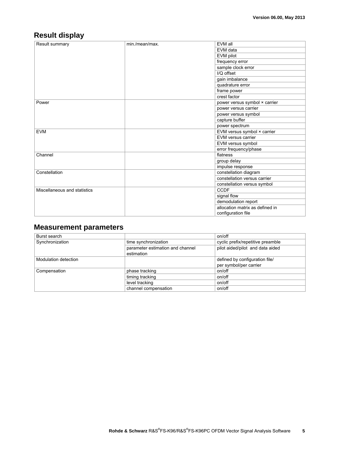## **Result display**

| Result summary               | min./mean/max. | EVM all                         |  |  |
|------------------------------|----------------|---------------------------------|--|--|
|                              |                | EVM data                        |  |  |
|                              |                | EVM pilot                       |  |  |
|                              |                | frequency error                 |  |  |
|                              |                | sample clock error              |  |  |
|                              |                | I/Q offset                      |  |  |
|                              |                | gain imbalance                  |  |  |
|                              |                | quadrature error                |  |  |
|                              |                | frame power                     |  |  |
|                              |                | crest factor                    |  |  |
| Power                        |                | power versus symbol × carrier   |  |  |
|                              |                | power versus carrier            |  |  |
|                              |                | power versus symbol             |  |  |
|                              |                | capture buffer                  |  |  |
|                              |                | power spectrum                  |  |  |
| <b>EVM</b>                   |                | EVM versus symbol × carrier     |  |  |
|                              |                | EVM versus carrier              |  |  |
|                              |                | EVM versus symbol               |  |  |
|                              |                | error frequency/phase           |  |  |
| Channel                      |                | flatness                        |  |  |
|                              |                | group delay                     |  |  |
|                              |                | impulse response                |  |  |
| Constellation                |                | constellation diagram           |  |  |
|                              |                | constellation versus carrier    |  |  |
|                              |                | constellation versus symbol     |  |  |
| Miscellaneous and statistics |                | <b>CCDF</b>                     |  |  |
|                              |                | signal flow                     |  |  |
|                              |                | demodulation report             |  |  |
|                              |                | allocation matrix as defined in |  |  |
|                              |                | configuration file              |  |  |

### **Measurement parameters**

| Burst search         |                                  | on/off                            |  |  |
|----------------------|----------------------------------|-----------------------------------|--|--|
| Synchronization      | time synchronization             | cyclic prefix/repetitive preamble |  |  |
|                      | parameter estimation and channel | pilot aided/pilot and data aided  |  |  |
|                      | estimation                       |                                   |  |  |
| Modulation detection |                                  | defined by configuration file/    |  |  |
|                      |                                  | per symbol/per carrier            |  |  |
| Compensation         | phase tracking                   | on/off                            |  |  |
|                      | timing tracking                  | on/off                            |  |  |
|                      | level tracking                   | on/off                            |  |  |
|                      | channel compensation             | on/off                            |  |  |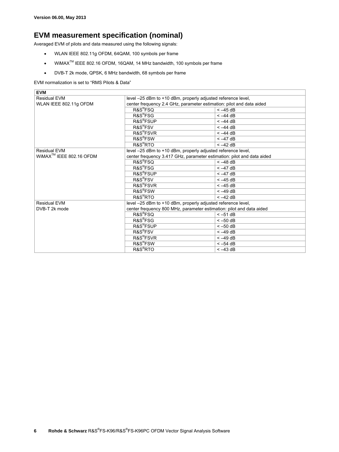### **EVM measurement specification (nominal)**

Averaged EVM of pilots and data measured using the following signals:

- WLAN IEEE 802.11g OFDM, 64QAM, 100 symbols per frame
- WiMAXTM IEEE 802.16 OFDM, 16QAM, 14 MHz bandwidth, 100 symbols per frame
- DVB-T 2k mode, QPSK, 6 MHz bandwidth, 68 symbols per frame

#### EVM normalization is set to "RMS Pilots & Data"

| <b>EVM</b>                 |                                                                        |           |  |  |  |
|----------------------------|------------------------------------------------------------------------|-----------|--|--|--|
| <b>Residual EVM</b>        | level -25 dBm to +10 dBm, properly adjusted reference level,           |           |  |  |  |
| WLAN IEEE 802.11g OFDM     | center frequency 2.4 GHz, parameter estimation: pilot and data aided   |           |  |  |  |
|                            | R&S <sup>®</sup> FSQ                                                   | $<-45$ dB |  |  |  |
|                            | R&S <sup>®</sup> FSG                                                   | $<-44$ dB |  |  |  |
|                            | <b>R&amp;S<sup>®</sup>FSUP</b>                                         | $<-44$ dB |  |  |  |
|                            | R&S <sup>®</sup> FSV                                                   | $<-44$ dB |  |  |  |
|                            | R&S <sup>®</sup> FSVR                                                  | $<-44$ dB |  |  |  |
|                            | R&S <sup>®</sup> FSW                                                   | $<-47$ dB |  |  |  |
|                            | R&S <sup>®</sup> RTO                                                   | $<-42$ dB |  |  |  |
| Residual EVM               | level -25 dBm to +10 dBm, properly adjusted reference level,           |           |  |  |  |
| $WIMAXTM$ IEEE 802.16 OFDM | center frequency 3.417 GHz, parameter estimation: pilot and data aided |           |  |  |  |
|                            | R&S®FSQ                                                                | $<-48$ dB |  |  |  |
|                            | R&S®FSG                                                                | $<-47$ dB |  |  |  |
|                            | R&S <sup>®</sup> FSUP                                                  | $<-47$ dB |  |  |  |
|                            | R&S <sup>®</sup> FSV                                                   | $<-45$ dB |  |  |  |
|                            | R&S®FSVR                                                               | $<-45$ dB |  |  |  |
|                            | R&S®FSW                                                                | $<-49$ dB |  |  |  |
|                            | R&S <sup>®</sup> RTO                                                   | $<-42$ dB |  |  |  |
| Residual EVM               | level -25 dBm to +10 dBm, properly adjusted reference level,           |           |  |  |  |
| DVB-T 2k mode              | center frequency 800 MHz, parameter estimation: pilot and data aided   |           |  |  |  |
|                            | R&S®FSQ                                                                | $<-51$ dB |  |  |  |
|                            | R&S <sup>®</sup> FSG                                                   | $<-50$ dB |  |  |  |
|                            | R&S <sup>®</sup> FSUP                                                  | $<-50$ dB |  |  |  |
|                            | R&S <sup>®</sup> FSV                                                   | $<-49$ dB |  |  |  |
|                            | R&S <sup>®</sup> FSVR                                                  | $<-49$ dB |  |  |  |
|                            | R&S <sup>®</sup> FSW                                                   | $<-54$ dB |  |  |  |
|                            | R&S <sup>®</sup> RTO                                                   | $<-43$ dB |  |  |  |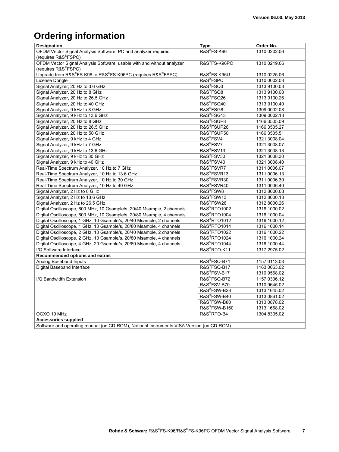# **Ordering information**

| Designation                                                            | <b>Type</b>                                                                                                                                                                                                                                                                                                                        | Order No.    |
|------------------------------------------------------------------------|------------------------------------------------------------------------------------------------------------------------------------------------------------------------------------------------------------------------------------------------------------------------------------------------------------------------------------|--------------|
| OFDM Vector Signal Analysis Software, PC and analyzer required         | R&S®FS-K96                                                                                                                                                                                                                                                                                                                         | 1310.0202.06 |
| (requires R&S®FSPC)                                                    |                                                                                                                                                                                                                                                                                                                                    |              |
| OFDM Vector Signal Analysis Software, usable with and without analyzer | R&S®FS-K96PC                                                                                                                                                                                                                                                                                                                       | 1310.0219.06 |
| (requires R&S <sup>®</sup> FSPC)                                       |                                                                                                                                                                                                                                                                                                                                    |              |
| Upgrade from R&S®FS-K96 to R&S®FS-K96PC (requires R&S®FSPC)            | R&S <sup>®</sup> FS-K96U                                                                                                                                                                                                                                                                                                           | 1310.0225.06 |
| License Dongle                                                         | R&S®FSPC                                                                                                                                                                                                                                                                                                                           | 1310.0002.03 |
| Signal Analyzer, 20 Hz to 3.6 GHz                                      | R&S®FSQ3                                                                                                                                                                                                                                                                                                                           | 1313.9100.03 |
| Signal Analyzer, 20 Hz to 8 GHz                                        | R&S®FSQ8                                                                                                                                                                                                                                                                                                                           | 1313.9100.08 |
| Signal Analyzer, 20 Hz to 26.5 GHz                                     | R&S®FSQ26                                                                                                                                                                                                                                                                                                                          | 1313.9100.26 |
| Signal Analyzer, 20 Hz to 40 GHz                                       | R&S®FSQ40                                                                                                                                                                                                                                                                                                                          | 1313.9100.40 |
| Signal Analyzer, 9 kHz to 8 GHz                                        | R&S®FSG8                                                                                                                                                                                                                                                                                                                           | 1309.0002.08 |
| Signal Analyzer, 9 kHz to 13.6 GHz                                     | R&S®FSG13                                                                                                                                                                                                                                                                                                                          | 1309.0002.13 |
| Signal Analyzer, 20 Hz to 8 GHz                                        | R&S®FSUP8                                                                                                                                                                                                                                                                                                                          | 1166.3505.09 |
| Signal Analyzer, 20 Hz to 26.5 GHz                                     | R&S®FSUP26                                                                                                                                                                                                                                                                                                                         | 1166.3505.27 |
| Signal Analyzer, 20 Hz to 50 GHz                                       | R&S®FSUP50                                                                                                                                                                                                                                                                                                                         | 1166.3505.51 |
| Signal Analyzer, 9 kHz to 4 GHz                                        | R&S®FSV4                                                                                                                                                                                                                                                                                                                           | 1321.3008.04 |
| Signal Analyzer, 9 kHz to 7 GHz                                        | R&S <sup>®</sup> FSV7                                                                                                                                                                                                                                                                                                              | 1321.3008.07 |
| Signal Analyzer, 9 kHz to 13.6 GHz                                     | R&S®FSV13                                                                                                                                                                                                                                                                                                                          | 1321.3008.13 |
| Signal Analyzer, 9 kHz to 30 GHz                                       | R&S®FSV30                                                                                                                                                                                                                                                                                                                          | 1321.3008.30 |
| Signal Analyzer, 9 kHz to 40 GHz                                       | R&S®FSV40                                                                                                                                                                                                                                                                                                                          | 1321.3008.40 |
| Real-Time Spectrum Analyzer, 10 Hz to 7 GHz                            | R&S®FSVR7                                                                                                                                                                                                                                                                                                                          | 1311.0006.07 |
| Real-Time Spectrum Analyzer, 10 Hz to 13.6 GHz                         | R&S <sup>®</sup> FSVR13                                                                                                                                                                                                                                                                                                            | 1311.0006.13 |
| Real-Time Spectrum Analyzer, 10 Hz to 30 GHz                           | R&S®FSVR30                                                                                                                                                                                                                                                                                                                         | 1311.0006.30 |
| Real-Time Spectrum Analyzer, 10 Hz to 40 GHz                           | R&S®FSVR40                                                                                                                                                                                                                                                                                                                         | 1311.0006.40 |
| Signal Analyzer, 2 Hz to 8 GHz                                         | R&S®FSW8                                                                                                                                                                                                                                                                                                                           | 1312.8000.08 |
| Signal Analyzer, 2 Hz to 13.6 GHz                                      | R&S®FSW13                                                                                                                                                                                                                                                                                                                          | 1312.8000.13 |
| Signal Analyzer, 2 Hz to 26.5 GHz                                      | R&S®FSW26                                                                                                                                                                                                                                                                                                                          | 1312.8000.26 |
| Digital Oscilloscope, 600 MHz, 10 Gsample/s, 20/40 Msample, 2 channels | <b>R&amp;S®RTO1002</b>                                                                                                                                                                                                                                                                                                             | 1316.1000.02 |
| Digital Oscilloscope, 600 MHz, 10 Gsample/s, 20/80 Msample, 4 channels | <b>R&amp;S®RTO1004</b>                                                                                                                                                                                                                                                                                                             | 1316.1000.04 |
| Digital Oscilloscope, 1 GHz, 10 Gsample/s, 20/40 Msample, 2 channels   | <b>R&amp;S®RTO1012</b>                                                                                                                                                                                                                                                                                                             | 1316.1000.12 |
| Digital Oscilloscope, 1 GHz, 10 Gsample/s, 20/80 Msample, 4 channels   | <b>R&amp;S®RTO1014</b>                                                                                                                                                                                                                                                                                                             | 1316.1000.14 |
| Digital Oscilloscope, 2 GHz, 10 Gsample/s, 20/40 Msample, 2 channels   | <b>R&amp;S®RTO1022</b>                                                                                                                                                                                                                                                                                                             | 1316.1000.22 |
| Digital Oscilloscope, 2 GHz, 10 Gsample/s, 20/80 Msample, 4 channels   | <b>R&amp;S®RTO1024</b>                                                                                                                                                                                                                                                                                                             | 1316.1000.24 |
| Digital Oscilloscope, 4 GHz, 20 Gsample/s, 20/80 Msample, 4 channels   | <b>R&amp;S®RTO1044</b>                                                                                                                                                                                                                                                                                                             | 1316.1000.44 |
| I/Q Software Interface                                                 | R&S®RTO-K11                                                                                                                                                                                                                                                                                                                        | 1317.2975.02 |
| Recommended options and extras                                         |                                                                                                                                                                                                                                                                                                                                    |              |
| Analog Baseband Inputs                                                 | R&S®FSQ-B71                                                                                                                                                                                                                                                                                                                        | 1157.0113.03 |
| Digital Baseband Interface                                             | R&S®FSQ-B17                                                                                                                                                                                                                                                                                                                        | 1163.0063.02 |
|                                                                        | R&S®FSV-B17                                                                                                                                                                                                                                                                                                                        | 1310.9568.02 |
| I/Q Bandwidth Extension                                                | R&S®FSQ-B72                                                                                                                                                                                                                                                                                                                        | 1157.0336.12 |
|                                                                        | R&S®FSV-B70                                                                                                                                                                                                                                                                                                                        | 1310.9645.02 |
|                                                                        | R&S®FSW-B28                                                                                                                                                                                                                                                                                                                        | 1313.1645.02 |
|                                                                        | R&S®FSW-B40                                                                                                                                                                                                                                                                                                                        | 1313.0861.02 |
|                                                                        | R&S®FSW-B80                                                                                                                                                                                                                                                                                                                        | 1313.0878.02 |
|                                                                        | R&S®FSW-B160                                                                                                                                                                                                                                                                                                                       | 1313.1668.02 |
| OCXO 10 MHz                                                            | R&S <sup>®</sup> RTO-B4                                                                                                                                                                                                                                                                                                            | 1304.8305.02 |
| <b>Accessories supplied</b>                                            |                                                                                                                                                                                                                                                                                                                                    |              |
|                                                                        | $\mathbf{A}$ $\mathbf{A}$ $\mathbf{A}$ $\mathbf{A}$ $\mathbf{A}$ $\mathbf{A}$ $\mathbf{A}$ $\mathbf{A}$ $\mathbf{A}$ $\mathbf{A}$ $\mathbf{A}$ $\mathbf{A}$ $\mathbf{A}$ $\mathbf{A}$ $\mathbf{A}$ $\mathbf{A}$ $\mathbf{A}$ $\mathbf{A}$ $\mathbf{A}$ $\mathbf{A}$ $\mathbf{A}$ $\mathbf{A}$ $\mathbf{A}$ $\mathbf{A}$ $\mathbf{$ |              |

Software and operating manual (on CD-ROM), National Instruments VISA Version (on CD-ROM)